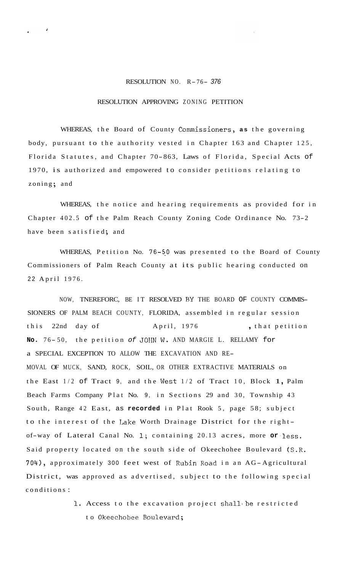## RESOLUTION NO. R- 76- *<sup>376</sup>*

## RESOLUTION APPROVING ZONING PETITION

WHEREAS, the Board of County Commissioners, as the governing body, pursuant to the authority vested in Chapter 163 and Chapter 125, Florida Statutes, and Chapter 70-863, Laws of Florida, Special Acts of 1970, is authorized and empowered to consider petitions relating to zoning; and

WHEREAS, the notice and hearing requirements as provided for in Chapter 402.5 of the Palm Reach County Zoning Code Ordinance No. 73-2 have been satisfied; and

WHEREAS, Petition No. 76-50 was presented to the Board of County Commissioners of Palm Reach County at its public hearing conducted on 22 April 1976.

NOW, TNEREFORC, BE IT RESOLVED BY THE BOARD OF COUNTY COMMIS-SIONERS OF PALM BEACH COUNTY, FLORIDA, assembled in regular session this 22nd day of April, 1976 , that petition **No.** 7 6 - 50, the petition *of* JOHN **W.** AND MARGIE L. RELLAMY for a SPECIAL EXCEPTION TO ALLOW THE EXCAVATION AND RE-MOVAL OF MUCK, SAND, ROCK, SOIL, OR OTHER EXTRACTIVE MATERIALS on the East  $1/2$  of Tract 9, and the West  $1/2$  of Tract 10, Block 1, Palm Beach Farms Company Plat No. 9, in Sections 29 and 30, Township 43 South, Range 42 East, as **recorded** in Plat Rook 5, page 58; subject to the interest of the Lake Worth Drainage District for the rightof-way of Lateral Canal No. **I;** containing 20.13 acres, more **or** -less. Said property located on the south side of Okeechohee Boulevard (S.R. 704), approximately 300 feet west of Rubin Road in an AG-Agricultural District, was approved as advertised, subject to the following special conditions :

> 1. Access to the excavation project shall be restricted to Okeechobee Boulevard;